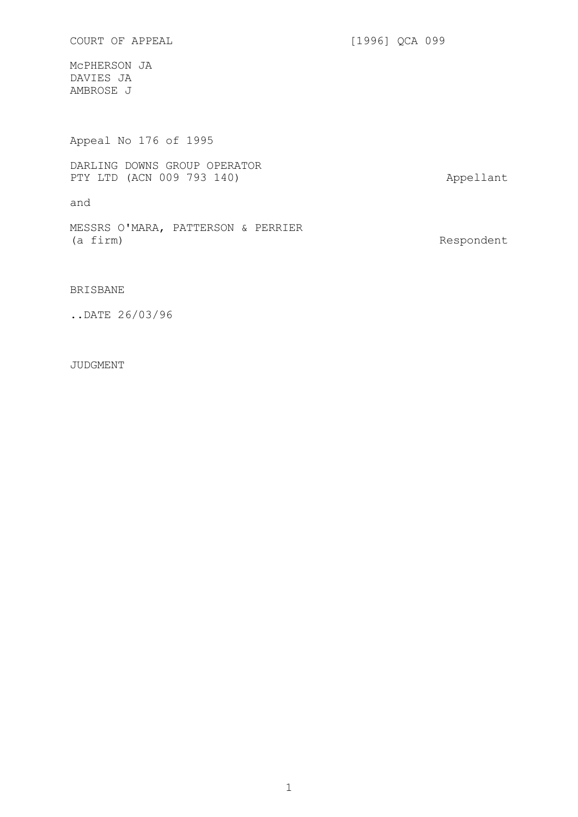COURT OF APPEAL [1996] QCA 099

McPHERSON JA DAVIES JA AMBROSE J

Appeal No 176 of 1995

DARLING DOWNS GROUP OPERATOR PTY LTD (ACN 009 793 140) Appellant

and

MESSRS O'MARA, PATTERSON & PERRIER<br>(a firm)

Respondent

BRISBANE

..DATE 26/03/96

JUDGMENT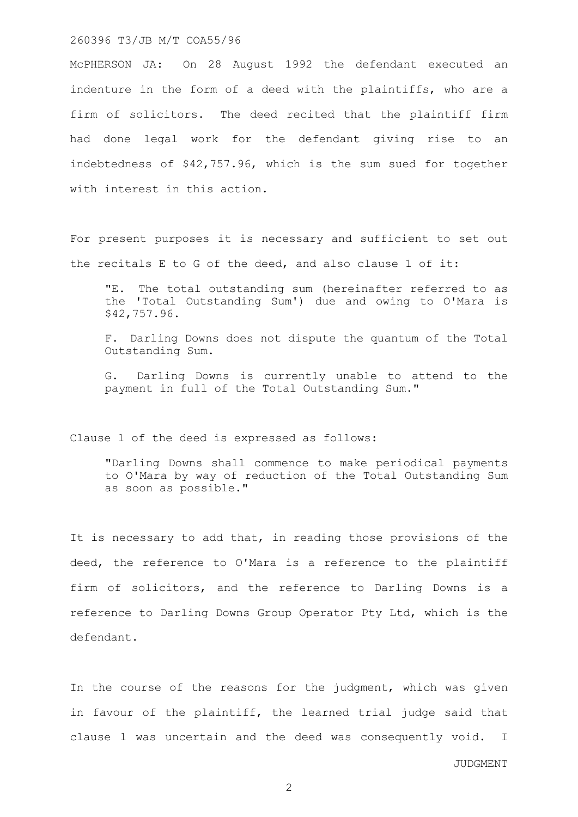#### 260396 T3/JB M/T COA55/96

McPHERSON JA: On 28 August 1992 the defendant executed an indenture in the form of a deed with the plaintiffs, who are a firm of solicitors. The deed recited that the plaintiff firm had done legal work for the defendant giving rise to an indebtedness of \$42,757.96, which is the sum sued for together with interest in this action.

For present purposes it is necessary and sufficient to set out the recitals E to G of the deed, and also clause 1 of it:

"E. The total outstanding sum (hereinafter referred to as the 'Total Outstanding Sum') due and owing to O'Mara is \$42,757.96.

F. Darling Downs does not dispute the quantum of the Total Outstanding Sum.

G. Darling Downs is currently unable to attend to the payment in full of the Total Outstanding Sum."

Clause 1 of the deed is expressed as follows:

"Darling Downs shall commence to make periodical payments to O'Mara by way of reduction of the Total Outstanding Sum as soon as possible."

It is necessary to add that, in reading those provisions of the deed, the reference to O'Mara is a reference to the plaintiff firm of solicitors, and the reference to Darling Downs is a reference to Darling Downs Group Operator Pty Ltd, which is the defendant.

In the course of the reasons for the judgment, which was given in favour of the plaintiff, the learned trial judge said that clause 1 was uncertain and the deed was consequently void. I

JUDGMENT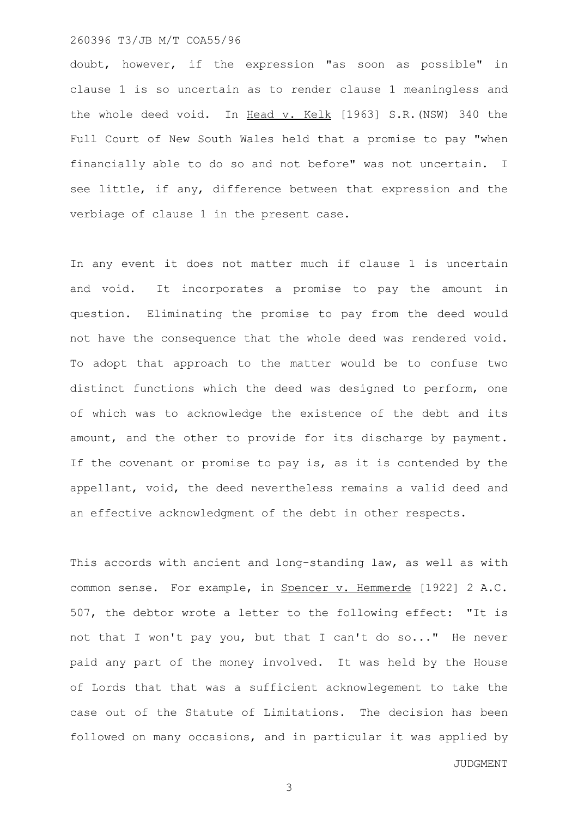## 260396 T3/JB M/T COA55/96

doubt, however, if the expression "as soon as possible" in clause 1 is so uncertain as to render clause 1 meaningless and the whole deed void. In Head v. Kelk [1963] S.R. (NSW) 340 the Full Court of New South Wales held that a promise to pay "when financially able to do so and not before" was not uncertain. I see little, if any, difference between that expression and the verbiage of clause 1 in the present case.

In any event it does not matter much if clause 1 is uncertain and void. It incorporates a promise to pay the amount in question. Eliminating the promise to pay from the deed would not have the consequence that the whole deed was rendered void. To adopt that approach to the matter would be to confuse two distinct functions which the deed was designed to perform, one of which was to acknowledge the existence of the debt and its amount, and the other to provide for its discharge by payment. If the covenant or promise to pay is, as it is contended by the appellant, void, the deed nevertheless remains a valid deed and an effective acknowledgment of the debt in other respects.

This accords with ancient and long-standing law, as well as with common sense. For example, in Spencer v. Hemmerde [1922] 2 A.C. 507, the debtor wrote a letter to the following effect: "It is not that I won't pay you, but that I can't do so..." He never paid any part of the money involved. It was held by the House of Lords that that was a sufficient acknowlegement to take the case out of the Statute of Limitations. The decision has been followed on many occasions, and in particular it was applied by

JUDGMENT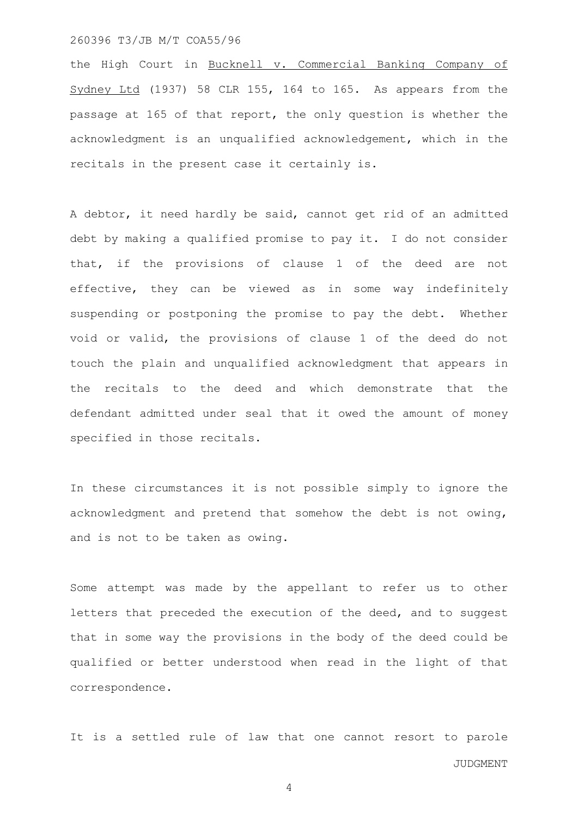#### 260396 T3/JB M/T COA55/96

the High Court in Bucknell v. Commercial Banking Company of Sydney Ltd (1937) 58 CLR 155, 164 to 165. As appears from the passage at 165 of that report, the only question is whether the acknowledgment is an unqualified acknowledgement, which in the recitals in the present case it certainly is.

A debtor, it need hardly be said, cannot get rid of an admitted debt by making a qualified promise to pay it. I do not consider that, if the provisions of clause 1 of the deed are not effective, they can be viewed as in some way indefinitely suspending or postponing the promise to pay the debt. Whether void or valid, the provisions of clause 1 of the deed do not touch the plain and unqualified acknowledgment that appears in the recitals to the deed and which demonstrate that the defendant admitted under seal that it owed the amount of money specified in those recitals.

In these circumstances it is not possible simply to ignore the acknowledgment and pretend that somehow the debt is not owing, and is not to be taken as owing.

Some attempt was made by the appellant to refer us to other letters that preceded the execution of the deed, and to suggest that in some way the provisions in the body of the deed could be qualified or better understood when read in the light of that correspondence.

JUDGMENT It is a settled rule of law that one cannot resort to parole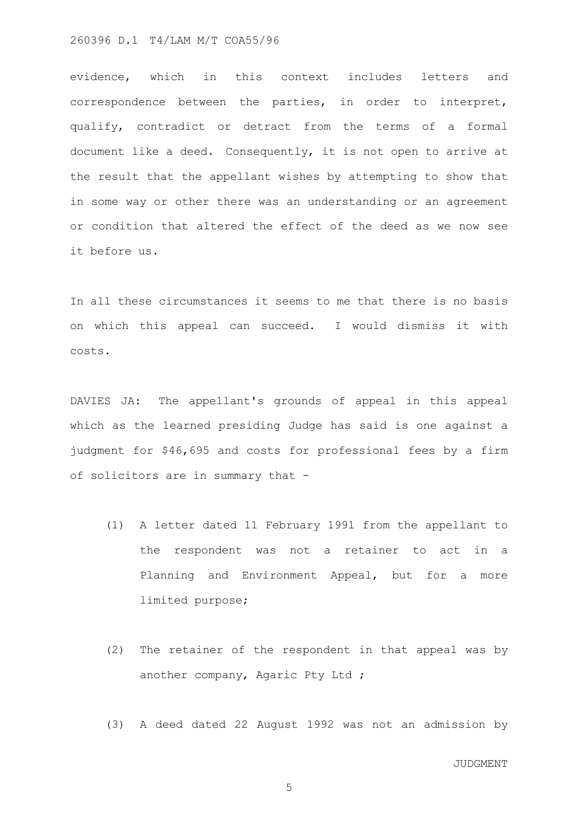evidence, which in this context includes letters and correspondence between the parties, in order to interpret, qualify, contradict or detract from the terms of a formal document like a deed. Consequently, it is not open to arrive at the result that the appellant wishes by attempting to show that in some way or other there was an understanding or an agreement or condition that altered the effect of the deed as we now see it before us.

In all these circumstances it seems to me that there is no basis on which this appeal can succeed. I would dismiss it with costs.

DAVIES JA: The appellant's grounds of appeal in this appeal which as the learned presiding Judge has said is one against a judgment for \$46,695 and costs for professional fees by a firm of solicitors are in summary that -

- (1) A letter dated 11 February 1991 from the appellant to the respondent was not a retainer to act in a Planning and Environment Appeal, but for a more limited purpose;
- (2) The retainer of the respondent in that appeal was by another company, Agaric Pty Ltd ;
- (3) A deed dated 22 August 1992 was not an admission by

JUDGMENT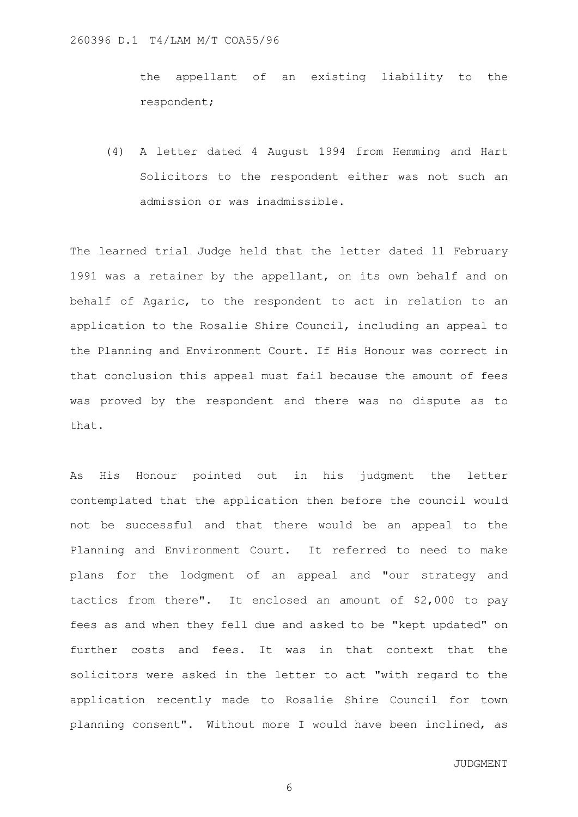the appellant of an existing liability to the respondent;

(4) A letter dated 4 August 1994 from Hemming and Hart Solicitors to the respondent either was not such an admission or was inadmissible.

The learned trial Judge held that the letter dated 11 February 1991 was a retainer by the appellant, on its own behalf and on behalf of Agaric, to the respondent to act in relation to an application to the Rosalie Shire Council, including an appeal to the Planning and Environment Court. If His Honour was correct in that conclusion this appeal must fail because the amount of fees was proved by the respondent and there was no dispute as to that.

As His Honour pointed out in his judgment the letter contemplated that the application then before the council would not be successful and that there would be an appeal to the Planning and Environment Court. It referred to need to make plans for the lodgment of an appeal and "our strategy and tactics from there". It enclosed an amount of \$2,000 to pay fees as and when they fell due and asked to be "kept updated" on further costs and fees. It was in that context that the solicitors were asked in the letter to act "with regard to the application recently made to Rosalie Shire Council for town planning consent". Without more I would have been inclined, as

JUDGMENT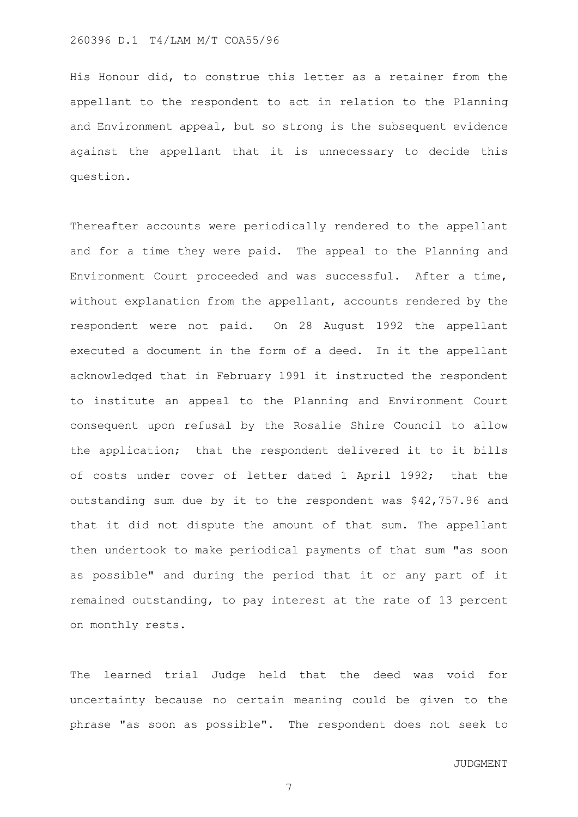His Honour did, to construe this letter as a retainer from the appellant to the respondent to act in relation to the Planning and Environment appeal, but so strong is the subsequent evidence against the appellant that it is unnecessary to decide this question.

Thereafter accounts were periodically rendered to the appellant and for a time they were paid. The appeal to the Planning and Environment Court proceeded and was successful. After a time, without explanation from the appellant, accounts rendered by the respondent were not paid. On 28 August 1992 the appellant executed a document in the form of a deed. In it the appellant acknowledged that in February 1991 it instructed the respondent to institute an appeal to the Planning and Environment Court consequent upon refusal by the Rosalie Shire Council to allow the application; that the respondent delivered it to it bills of costs under cover of letter dated 1 April 1992; that the outstanding sum due by it to the respondent was \$42,757.96 and that it did not dispute the amount of that sum. The appellant then undertook to make periodical payments of that sum "as soon as possible" and during the period that it or any part of it remained outstanding, to pay interest at the rate of 13 percent on monthly rests.

The learned trial Judge held that the deed was void for uncertainty because no certain meaning could be given to the phrase "as soon as possible". The respondent does not seek to

JUDGMENT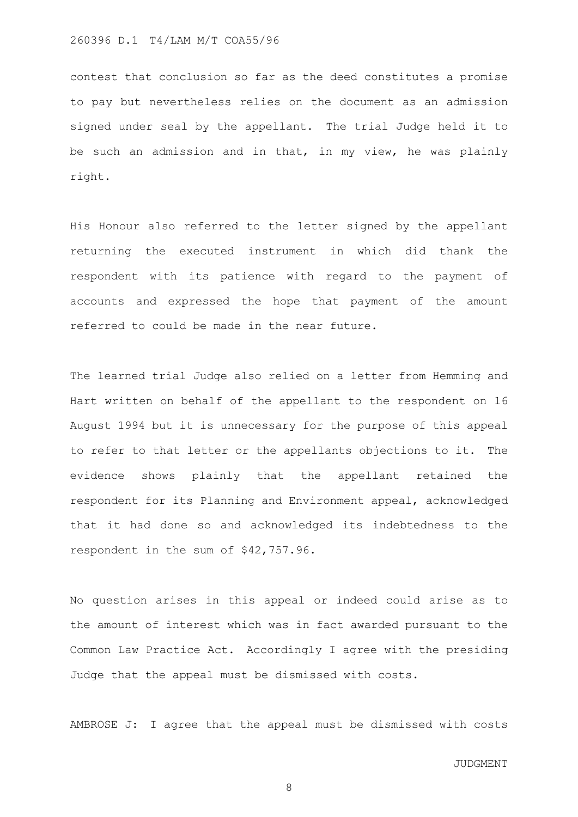contest that conclusion so far as the deed constitutes a promise to pay but nevertheless relies on the document as an admission signed under seal by the appellant. The trial Judge held it to be such an admission and in that, in my view, he was plainly right.

His Honour also referred to the letter signed by the appellant returning the executed instrument in which did thank the respondent with its patience with regard to the payment of accounts and expressed the hope that payment of the amount referred to could be made in the near future.

The learned trial Judge also relied on a letter from Hemming and Hart written on behalf of the appellant to the respondent on 16 August 1994 but it is unnecessary for the purpose of this appeal to refer to that letter or the appellants objections to it. The evidence shows plainly that the appellant retained the respondent for its Planning and Environment appeal, acknowledged that it had done so and acknowledged its indebtedness to the respondent in the sum of \$42,757.96.

No question arises in this appeal or indeed could arise as to the amount of interest which was in fact awarded pursuant to the Common Law Practice Act. Accordingly I agree with the presiding Judge that the appeal must be dismissed with costs.

AMBROSE J: I agree that the appeal must be dismissed with costs

JUDGMENT